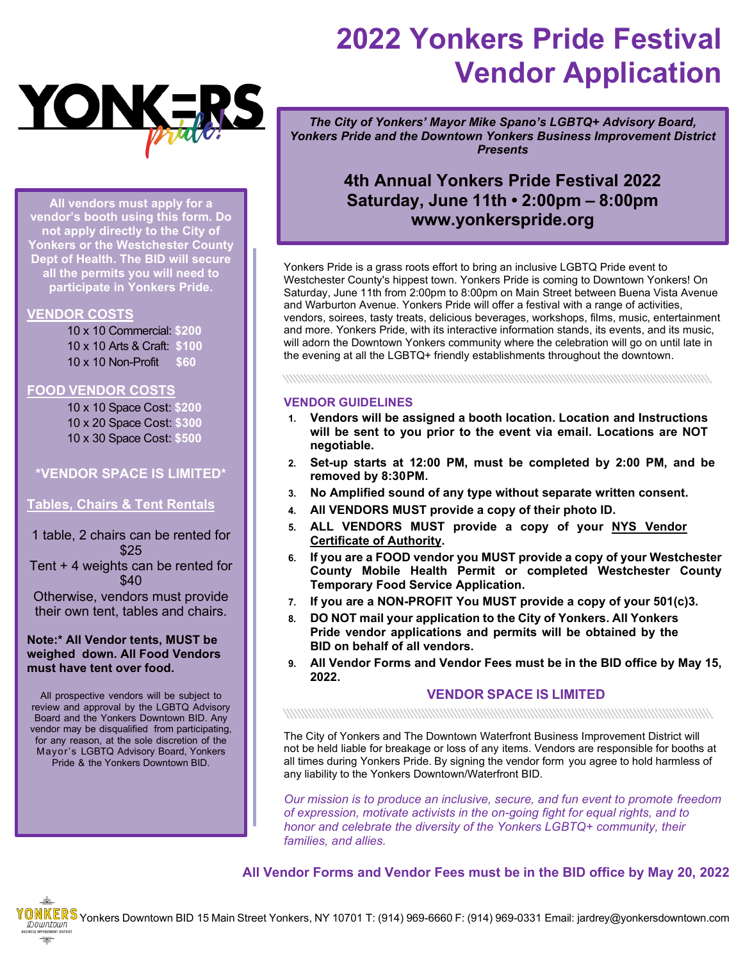

**All vendors must apply for a vendor's booth using this form. Do not apply directly to the City of Yonkers or the Westchester County Dept of Health. The BID will secure all the permits you will need to participate in Yonkers Pride.**

## **VENDOR COSTS**

10 x 10 Commercial: **\$200** 10 x 10 Arts & Craft: **\$100** 10 x 10 Non-Profit **\$60**

## **FOOD VENDOR COSTS**

10 x 10 Space Cost: **\$200** 10 x 20 Space Cost: **\$300** 10 x 30 Space Cost: **\$500**

## **\*VENDOR SPACE IS LIMITED\***

## **Tables, Chairs & Tent Rentals**

1 table, 2 chairs can be rented for \$25 Tent + 4 weights can be rented for \$40

Otherwise, vendors must provide their own tent, tables and chairs.

## **Note:\* All Vendor tents, MUST be weighed down. All Food Vendors must have tent over food.**

All prospective vendors will be subject to review and approval by the LGBTQ Advisory Board and the Yonkers Downtown BID. Any vendor may be disqualified from participating, for any reason, at the sole discretion of the Mayor's LGBTQ Advisory Board, Yonkers Pride & the Yonkers Downtown BID.

## **2022 Yonkers Pride Festival Vendor Application**

*The City of Yonkers' Mayor Mike Spano's LGBTQ+ Advisory Board, Yonkers Pride and the Downtown Yonkers Business Improvement District Presents*

## **4th Annual Yonkers Pride Festival 2022 Saturday, June 11th • 2:00pm – 8:00pm [www.yonkerspride.org](http://www.yonkerspride.org/)**

Yonkers Pride is a grass roots effort to bring an inclusive LGBTQ Pride event to Westchester County's hippest town. Yonkers Pride is coming to Downtown Yonkers! On Saturday, June 11th from 2:00pm to 8:00pm on Main Street between Buena Vista Avenue and Warburton Avenue. Yonkers Pride will offer a festival with a range of activities, vendors, soirees, tasty treats, delicious beverages, workshops, films, music, entertainment and more. Yonkers Pride, with its interactive information stands, its events, and its music, will adorn the Downtown Yonkers community where the celebration will go on until late in the evening at all the LGBTQ+ friendly establishments throughout the downtown.

### **VENDOR GUIDELINES**

- **1. Vendors will be assigned a booth location. Location and Instructions will be sent to you prior to the event via email. Locations are NOT negotiable.**
- **2. Set-up starts at 12:00 PM, must be completed by 2:00 PM, and be removed by 8:30PM.**
- **3. No Amplified sound of any type without separate written consent.**
- **4. All VENDORS MUST provide a copy of their photo ID.**
- **5. ALL VENDORS MUST provide a copy of your NYS Vendor Certificate of Authority.**
- **6. If you are a FOOD vendor you MUST provide a copy of your Westchester County Mobile Health Permit or completed Westchester County Temporary Food Service Application.**
- **7. If you are a NON-PROFIT You MUST provide a copy of your 501(c)3.**
- **8. DO NOT mail your application to the City of Yonkers. All Yonkers Pride vendor applications and permits will be obtained by the BID on behalf of all vendors.**
- **9. All Vendor Forms and Vendor Fees must be in the BID office by May 15, 2022.**

## **VENDOR SPACE IS LIMITED**

### 

The City of Yonkers and The Downtown Waterfront Business Improvement District will not be held liable for breakage or loss of any items. Vendors are responsible for booths at all times during Yonkers Pride. By signing the vendor form you agree to hold harmless of any liability to the Yonkers Downtown/Waterfront BID.

*Our mission is to produce an inclusive, secure, and fun event to promote freedom of expression, motivate activists in the on-going fight for equal rights, and to honor and celebrate the diversity of the Yonkers LGBTQ+ community, their families, and allies.*

**All Vendor Forms and Vendor Fees must be in the BID office by May 20, 2022**